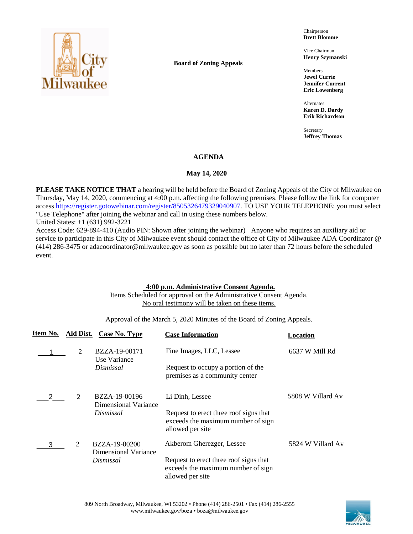

**Board of Zoning Appeals**

Chairperson **Brett Blomme**

Vice Chairman **Henry Szymanski**

Members **Jewel Currie Jennifer Current Eric Lowenberg**

Alternates **Karen D. Dardy Erik Richardson**

Secretary **Jeffrey Thomas**

## **AGENDA**

### May 14, 2020

**PLEASE TAKE NOTICE THAT** a hearing will be held before the Board of Zoning Appeals of the City of Milwaukee on Thursday, May 14, 2020, commencing at 4:00 p.m. affecting the following premises. Please follow the link for computer acces[s https://register.gotowebinar.com/register/8505326479329040907.](https://register.gotowebinar.com/register/8505326479329040907) TO USE YOUR TELEPHONE: you must select "Use Telephone" after joining the webinar and call in using these numbers below.

United States: +1 (631) 992-3221

Access Code: 629-894-410 (Audio PIN: Shown after joining the webinar) Anyone who requires an auxiliary aid or service to participate in this City of Milwaukee event should contact the office of City of Milwaukee ADA Coordinator @ (414) 286-3475 or adacoordinator@milwaukee.gov as soon as possible but no later than 72 hours before the scheduled event.

### **4:00 p.m. Administrative Consent Agenda.**

Items Scheduled for approval on the Administrative Consent Agenda. No oral testimony will be taken on these items.

Approval of the March 5, 2020 Minutes of the Board of Zoning Appeals.

| Item No. |                             | Ald Dist. Case No. Type               | <b>Case Information</b>                                                                          | Location          |
|----------|-----------------------------|---------------------------------------|--------------------------------------------------------------------------------------------------|-------------------|
|          | 2                           | BZZA-19-00171<br>Use Variance         | Fine Images, LLC, Lessee                                                                         | 6637 W Mill Rd    |
|          |                             | Dismissal                             | Request to occupy a portion of the<br>premises as a community center                             |                   |
|          | $\mathcal{D}_{\mathcal{L}}$ | BZZA-19-00196<br>Dimensional Variance | Li Dinh, Lessee                                                                                  | 5808 W Villard Av |
|          |                             | Dismissal                             | Request to erect three roof signs that<br>exceeds the maximum number of sign<br>allowed per site |                   |
| 3        | 2                           | BZZA-19-00200<br>Dimensional Variance | Akberom Gherezger, Lessee                                                                        | 5824 W Villard Av |
|          |                             | Dismissal                             | Request to erect three roof signs that<br>exceeds the maximum number of sign<br>allowed per site |                   |

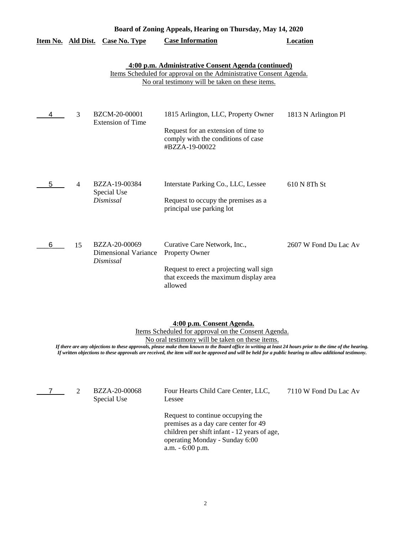|                    | Board of Zoning Appeals, Hearing on Thursday, May 14, 2020 |                                                           |                                                                                                                                                                              |                       |  |  |
|--------------------|------------------------------------------------------------|-----------------------------------------------------------|------------------------------------------------------------------------------------------------------------------------------------------------------------------------------|-----------------------|--|--|
| Item No. Ald Dist. |                                                            | <b>Case No. Type</b>                                      | <b>Case Information</b>                                                                                                                                                      | <b>Location</b>       |  |  |
|                    |                                                            |                                                           | 4:00 p.m. Administrative Consent Agenda (continued)<br>Items Scheduled for approval on the Administrative Consent Agenda.<br>No oral testimony will be taken on these items. |                       |  |  |
| 4                  | 3                                                          | BZCM-20-00001<br><b>Extension of Time</b>                 | 1815 Arlington, LLC, Property Owner<br>Request for an extension of time to<br>comply with the conditions of case<br>#BZZA-19-00022                                           | 1813 N Arlington Pl   |  |  |
| 5                  | $\overline{4}$                                             | BZZA-19-00384<br>Special Use<br>Dismissal                 | Interstate Parking Co., LLC, Lessee<br>Request to occupy the premises as a<br>principal use parking lot                                                                      | 610 N 8Th St          |  |  |
| 6                  | 15                                                         | BZZA-20-00069<br><b>Dimensional Variance</b><br>Dismissal | Curative Care Network, Inc.,<br>Property Owner<br>Request to erect a projecting wall sign<br>that exceeds the maximum display area<br>allowed                                | 2607 W Fond Du Lac Av |  |  |

### **4:00 p.m. Consent Agenda.**

Items Scheduled for approval on the Consent Agenda.

No oral testimony will be taken on these items.

*If there are any objections to these approvals, please make them known to the Board office in writing at least 24 hours prior to the time of the hearing. If written objections to these approvals are received, the item will not be approved and will be held for a public hearing to allow additional testimony.*

 $7$  2

Special Use

BZZA-20-00068 Four Hearts Child Care Center, LLC, 7110 W Fond Du Lac Av Lessee

Request to continue occupying the premises as a day care center for 49 children per shift infant - 12 years of age, operating Monday - Sunday 6:00 a.m. - 6:00 p.m.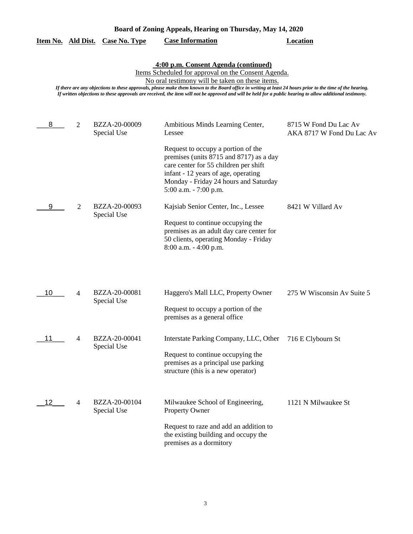|    |   |                              | 4:00 p.m. Consent Agenda (continued)<br>Items Scheduled for approval on the Consent Agenda.<br>No oral testimony will be taken on these items.<br>If there are any objections to these approvals, please make them known to the Board office in writing at least 24 hours prior to the time of the hearing.<br>If written objections to these approvals are received, the item will not be approved and will be held for a public hearing to allow additional testimony. |                                                    |
|----|---|------------------------------|--------------------------------------------------------------------------------------------------------------------------------------------------------------------------------------------------------------------------------------------------------------------------------------------------------------------------------------------------------------------------------------------------------------------------------------------------------------------------|----------------------------------------------------|
| 8  | 2 | BZZA-20-00009<br>Special Use | Ambitious Minds Learning Center,<br>Lessee                                                                                                                                                                                                                                                                                                                                                                                                                               | 8715 W Fond Du Lac Av<br>AKA 8717 W Fond Du Lac Av |
|    |   |                              | Request to occupy a portion of the<br>premises (units 8715 and 8717) as a day<br>care center for 55 children per shift<br>infant - 12 years of age, operating<br>Monday - Friday 24 hours and Saturday<br>5:00 a.m. - 7:00 p.m.                                                                                                                                                                                                                                          |                                                    |
| 9  | 2 | BZZA-20-00093<br>Special Use | Kajsiab Senior Center, Inc., Lessee<br>Request to continue occupying the<br>premises as an adult day care center for<br>50 clients, operating Monday - Friday<br>8:00 a.m. - 4:00 p.m.                                                                                                                                                                                                                                                                                   | 8421 W Villard Av                                  |
| 10 | 4 | BZZA-20-00081<br>Special Use | Haggero's Mall LLC, Property Owner<br>Request to occupy a portion of the<br>premises as a general office                                                                                                                                                                                                                                                                                                                                                                 | 275 W Wisconsin Av Suite 5                         |
| 11 | 4 | BZZA-20-00041<br>Special Use | Interstate Parking Company, LLC, Other 716 E Clybourn St<br>Request to continue occupying the<br>premises as a principal use parking<br>structure (this is a new operator)                                                                                                                                                                                                                                                                                               |                                                    |
| 12 | 4 | BZZA-20-00104<br>Special Use | Milwaukee School of Engineering,<br><b>Property Owner</b><br>Request to raze and add an addition to<br>the existing building and occupy the<br>premises as a dormitory                                                                                                                                                                                                                                                                                                   | 1121 N Milwaukee St                                |

# **Board of Zoning Appeals, Hearing on Thursday, May 14, 2020**

**Item No. Ald Dist. Case No. Type Case Information Location**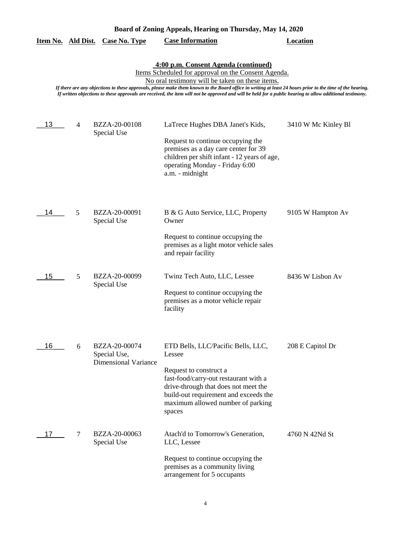|  | Board of Zoning Appeals, Hearing on Thursday, May 14, 2020 |  |  |
|--|------------------------------------------------------------|--|--|
|  |                                                            |  |  |

|  |  | Item No. Ald Dist. Case No. Type | <b>Case Information</b> | Location |
|--|--|----------------------------------|-------------------------|----------|
|--|--|----------------------------------|-------------------------|----------|

**4:00 p.m. Consent Agenda (continued)**

Items Scheduled for approval on the Consent Agenda.

No oral testimony will be taken on these items.

*If there are any objections to these approvals, please make them known to the Board office in writing at least 24 hours prior to the time of the hearing. If written objections to these approvals are received, the item will not be approved and will be held for a public hearing to allow additional testimony.*

| 13 | $\overline{4}$ | BZZA-20-00108<br>Special Use  | LaTrece Hughes DBA Janet's Kids,                                                                                                                                               | 3410 W Mc Kinley Bl |
|----|----------------|-------------------------------|--------------------------------------------------------------------------------------------------------------------------------------------------------------------------------|---------------------|
|    |                |                               | Request to continue occupying the<br>premises as a day care center for 39<br>children per shift infant - 12 years of age,<br>operating Monday - Friday 6:00<br>a.m. - midnight |                     |
| 14 | 5              | BZZA-20-00091<br>Special Use  | B & G Auto Service, LLC, Property<br>Owner                                                                                                                                     | 9105 W Hampton Av   |
|    |                |                               | Request to continue occupying the<br>premises as a light motor vehicle sales<br>and repair facility                                                                            |                     |
| 15 | 5              | BZZA-20-00099<br>Special Use  | Twinz Tech Auto, LLC, Lessee                                                                                                                                                   | 8436 W Lisbon Av    |
|    |                |                               | Request to continue occupying the<br>premises as a motor vehicle repair<br>facility                                                                                            |                     |
| 16 | 6              | BZZA-20-00074<br>Special Use, | ETD Bells, LLC/Pacific Bells, LLC,<br>Lessee                                                                                                                                   | 208 E Capitol Dr    |
|    |                | <b>Dimensional Variance</b>   | Request to construct a                                                                                                                                                         |                     |
|    |                |                               | fast-food/carry-out restaurant with a<br>drive-through that does not meet the<br>build-out requirement and exceeds the<br>maximum allowed number of parking<br>spaces          |                     |
| 17 | 7              | BZZA-20-00063<br>Special Use  | Atach'd to Tomorrow's Generation,<br>LLC, Lessee                                                                                                                               | 4760 N 42Nd St      |
|    |                |                               | Request to continue occupying the<br>premises as a community living<br>arrangement for 5 occupants                                                                             |                     |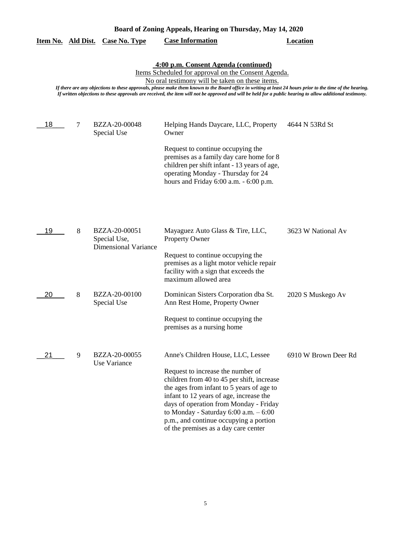| Board of Zoning Appeals, Hearing on Thursday, May 14, 2020                                                                                                                                                                                                                                                                                                                                                                                                               |   |                                                              |                                                                                                                                                                                                                                                                                                                                                                                       |                      |  |  |
|--------------------------------------------------------------------------------------------------------------------------------------------------------------------------------------------------------------------------------------------------------------------------------------------------------------------------------------------------------------------------------------------------------------------------------------------------------------------------|---|--------------------------------------------------------------|---------------------------------------------------------------------------------------------------------------------------------------------------------------------------------------------------------------------------------------------------------------------------------------------------------------------------------------------------------------------------------------|----------------------|--|--|
| Item No. Ald Dist.                                                                                                                                                                                                                                                                                                                                                                                                                                                       |   | <b>Case No. Type</b>                                         | <b>Case Information</b>                                                                                                                                                                                                                                                                                                                                                               | <b>Location</b>      |  |  |
| 4:00 p.m. Consent Agenda (continued)<br>Items Scheduled for approval on the Consent Agenda.<br>No oral testimony will be taken on these items.<br>If there are any objections to these approvals, please make them known to the Board office in writing at least 24 hours prior to the time of the hearing.<br>If written objections to these approvals are received, the item will not be approved and will be held for a public hearing to allow additional testimony. |   |                                                              |                                                                                                                                                                                                                                                                                                                                                                                       |                      |  |  |
| 18                                                                                                                                                                                                                                                                                                                                                                                                                                                                       | 7 | BZZA-20-00048<br>Special Use                                 | Helping Hands Daycare, LLC, Property<br>Owner<br>Request to continue occupying the<br>premises as a family day care home for 8<br>children per shift infant - 13 years of age,<br>operating Monday - Thursday for 24<br>hours and Friday 6:00 a.m. - 6:00 p.m.                                                                                                                        | 4644 N 53Rd St       |  |  |
| 19                                                                                                                                                                                                                                                                                                                                                                                                                                                                       | 8 | BZZA-20-00051<br>Special Use,<br><b>Dimensional Variance</b> | Mayaguez Auto Glass & Tire, LLC,<br><b>Property Owner</b><br>Request to continue occupying the<br>premises as a light motor vehicle repair<br>facility with a sign that exceeds the<br>maximum allowed area                                                                                                                                                                           | 3623 W National Av   |  |  |
| 20                                                                                                                                                                                                                                                                                                                                                                                                                                                                       | 8 | BZZA-20-00100<br>Special Use                                 | Dominican Sisters Corporation dba St.<br>Ann Rest Home, Property Owner<br>Request to continue occupying the<br>premises as a nursing home                                                                                                                                                                                                                                             | 2020 S Muskego Av    |  |  |
| 21                                                                                                                                                                                                                                                                                                                                                                                                                                                                       | 9 | BZZA-20-00055<br>Use Variance                                | Anne's Children House, LLC, Lessee<br>Request to increase the number of<br>children from 40 to 45 per shift, increase<br>the ages from infant to 5 years of age to<br>infant to 12 years of age, increase the<br>days of operation from Monday - Friday<br>to Monday - Saturday $6:00$ a.m. $-6:00$<br>p.m., and continue occupying a portion<br>of the premises as a day care center | 6910 W Brown Deer Rd |  |  |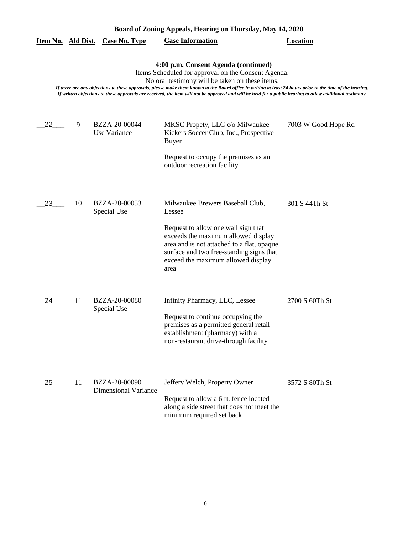| Board of Zoning Appeals, Hearing on Thursday, May 14, 2020 |    |                                              |                                                                                                                                                                                                                                                                                                                                                                                                                                                                          |                     |  |
|------------------------------------------------------------|----|----------------------------------------------|--------------------------------------------------------------------------------------------------------------------------------------------------------------------------------------------------------------------------------------------------------------------------------------------------------------------------------------------------------------------------------------------------------------------------------------------------------------------------|---------------------|--|
| Item No. Ald Dist.                                         |    | <b>Case No. Type</b>                         | <b>Case Information</b>                                                                                                                                                                                                                                                                                                                                                                                                                                                  | <b>Location</b>     |  |
|                                                            |    |                                              | 4:00 p.m. Consent Agenda (continued)<br>Items Scheduled for approval on the Consent Agenda.<br>No oral testimony will be taken on these items.<br>If there are any objections to these approvals, please make them known to the Board office in writing at least 24 hours prior to the time of the hearing.<br>If written objections to these approvals are received, the item will not be approved and will be held for a public hearing to allow additional testimony. |                     |  |
| 22                                                         | 9  | BZZA-20-00044<br>Use Variance                | MKSC Propety, LLC c/o Milwaukee<br>Kickers Soccer Club, Inc., Prospective<br><b>Buyer</b>                                                                                                                                                                                                                                                                                                                                                                                | 7003 W Good Hope Rd |  |
|                                                            |    |                                              | Request to occupy the premises as an<br>outdoor recreation facility                                                                                                                                                                                                                                                                                                                                                                                                      |                     |  |
| 23                                                         | 10 | BZZA-20-00053<br>Special Use                 | Milwaukee Brewers Baseball Club,<br>Lessee                                                                                                                                                                                                                                                                                                                                                                                                                               | 301 S 44Th St       |  |
|                                                            |    |                                              | Request to allow one wall sign that<br>exceeds the maximum allowed display<br>area and is not attached to a flat, opaque<br>surface and two free-standing signs that<br>exceed the maximum allowed display<br>area                                                                                                                                                                                                                                                       |                     |  |
| 24                                                         | 11 | BZZA-20-00080<br>Special Use                 | Infinity Pharmacy, LLC, Lessee                                                                                                                                                                                                                                                                                                                                                                                                                                           | 2700 S 60Th St      |  |
|                                                            |    |                                              | Request to continue occupying the<br>premises as a permitted general retail<br>establishment (pharmacy) with a<br>non-restaurant drive-through facility                                                                                                                                                                                                                                                                                                                  |                     |  |
| 25                                                         | 11 | BZZA-20-00090<br><b>Dimensional Variance</b> | Jeffery Welch, Property Owner<br>Request to allow a 6 ft. fence located<br>along a side street that does not meet the<br>minimum required set back                                                                                                                                                                                                                                                                                                                       | 3572 S 80Th St      |  |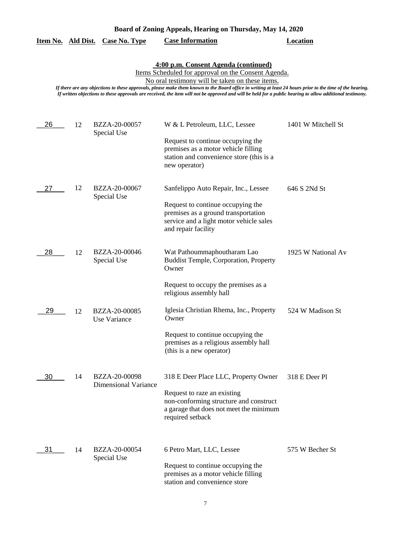| Board of Zoning Appeals, Hearing on Thursday, May 14, 2020 |  |  |  |
|------------------------------------------------------------|--|--|--|
|                                                            |  |  |  |

|  | Item No. Ald Dist. Case No. Type | <b>Case Information</b> | Location |
|--|----------------------------------|-------------------------|----------|
|  |                                  |                         |          |

**4:00 p.m. Consent Agenda (continued)**

Items Scheduled for approval on the Consent Agenda.

No oral testimony will be taken on these items.

*If there are any objections to these approvals, please make them known to the Board office in writing at least 24 hours prior to the time of the hearing. If written objections to these approvals are received, the item will not be approved and will be held for a public hearing to allow additional testimony.*

| 26 | 12 | BZZA-20-00057<br>Special Use                 | W & L Petroleum, LLC, Lessee                                                                                                                                                       | 1401 W Mitchell St |
|----|----|----------------------------------------------|------------------------------------------------------------------------------------------------------------------------------------------------------------------------------------|--------------------|
|    |    |                                              | Request to continue occupying the<br>premises as a motor vehicle filling<br>station and convenience store (this is a<br>new operator)                                              |                    |
| 27 | 12 | BZZA-20-00067<br>Special Use                 | Sanfelippo Auto Repair, Inc., Lessee<br>Request to continue occupying the<br>premises as a ground transportation<br>service and a light motor vehicle sales<br>and repair facility | 646 S 2Nd St       |
| 28 | 12 | BZZA-20-00046<br>Special Use                 | Wat Pathoummaphoutharam Lao<br><b>Buddist Temple, Corporation, Property</b><br>Owner<br>Request to occupy the premises as a<br>religious assembly hall                             | 1925 W National Av |
| 29 | 12 | BZZA-20-00085<br>Use Variance                | Iglesia Christian Rhema, Inc., Property<br>Owner<br>Request to continue occupying the<br>premises as a religious assembly hall<br>(this is a new operator)                         | 524 W Madison St   |
| 30 | 14 | BZZA-20-00098<br><b>Dimensional Variance</b> | 318 E Deer Place LLC, Property Owner<br>Request to raze an existing<br>non-conforming structure and construct<br>a garage that does not meet the minimum<br>required setback       | 318 E Deer Pl      |
| 31 | 14 | BZZA-20-00054<br>Special Use                 | 6 Petro Mart, LLC, Lessee<br>Request to continue occupying the<br>premises as a motor vehicle filling<br>station and convenience store                                             | 575 W Becher St    |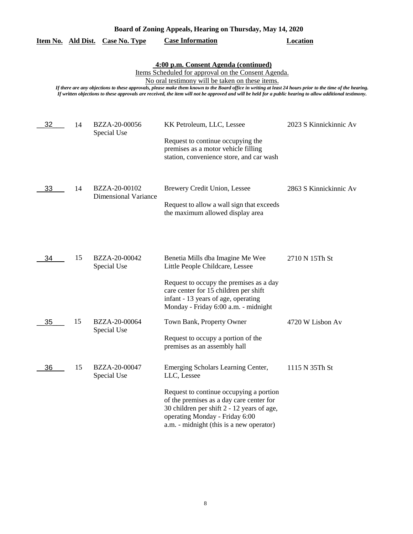| 4:00 p.m. Consent Agenda (continued)<br>Items Scheduled for approval on the Consent Agenda.<br>No oral testimony will be taken on these items.<br>If there are any objections to these approvals, please make them known to the Board office in writing at least 24 hours prior to the time of the hearing.<br>If written objections to these approvals are received, the item will not be approved and will be held for a public hearing to allow additional testimony. |    |                                              |                                                                                                                                                                                                                                                                      |                        |  |
|--------------------------------------------------------------------------------------------------------------------------------------------------------------------------------------------------------------------------------------------------------------------------------------------------------------------------------------------------------------------------------------------------------------------------------------------------------------------------|----|----------------------------------------------|----------------------------------------------------------------------------------------------------------------------------------------------------------------------------------------------------------------------------------------------------------------------|------------------------|--|
| 32                                                                                                                                                                                                                                                                                                                                                                                                                                                                       | 14 | BZZA-20-00056<br>Special Use                 | KK Petroleum, LLC, Lessee<br>Request to continue occupying the<br>premises as a motor vehicle filling                                                                                                                                                                | 2023 S Kinnickinnic Av |  |
| 33                                                                                                                                                                                                                                                                                                                                                                                                                                                                       | 14 | BZZA-20-00102<br><b>Dimensional Variance</b> | station, convenience store, and car wash<br>Brewery Credit Union, Lessee<br>Request to allow a wall sign that exceeds<br>the maximum allowed display area                                                                                                            | 2863 S Kinnickinnic Av |  |
| 34                                                                                                                                                                                                                                                                                                                                                                                                                                                                       | 15 | BZZA-20-00042<br>Special Use                 | Benetia Mills dba Imagine Me Wee<br>Little People Childcare, Lessee<br>Request to occupy the premises as a day<br>care center for 15 children per shift<br>infant - 13 years of age, operating                                                                       | 2710 N 15Th St         |  |
| 35                                                                                                                                                                                                                                                                                                                                                                                                                                                                       | 15 | BZZA-20-00064<br>Special Use                 | Monday - Friday 6:00 a.m. - midnight<br>Town Bank, Property Owner<br>Request to occupy a portion of the<br>premises as an assembly hall                                                                                                                              | 4720 W Lisbon Av       |  |
| 36                                                                                                                                                                                                                                                                                                                                                                                                                                                                       | 15 | BZZA-20-00047<br>Special Use                 | Emerging Scholars Learning Center,<br>LLC, Lessee<br>Request to continue occupying a portion<br>of the premises as a day care center for<br>30 children per shift 2 - 12 years of age,<br>operating Monday - Friday 6:00<br>a.m. - midnight (this is a new operator) | 1115 N 35Th St         |  |

# **Board of Zoning Appeals, Hearing on Thursday, May 14, 2020**

**Item No. Ald Dist. Case No. Type Case Information Location**